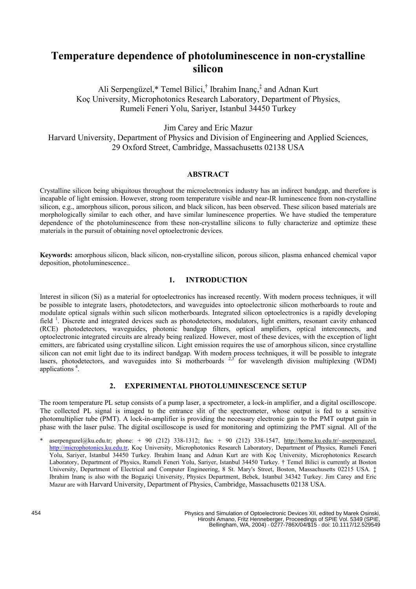# **Temperature dependence of photoluminescence in non-crystalline silicon**

Ali Serpengüzel,\* Temel Bilici,<sup>†</sup> Ibrahim Inanç,<sup>‡</sup> and Adnan Kurt Koç University, Microphotonics Research Laboratory, Department of Physics, Rumeli Feneri Yolu, Sariyer, Istanbul 34450 Turkey

Jim Carey and Eric Mazur

Harvard University, Department of Physics and Division of Engineering and Applied Sciences, 29 Oxford Street, Cambridge, Massachusetts 02138 USA

# **ABSTRACT**

Crystalline silicon being ubiquitous throughout the microelectronics industry has an indirect bandgap, and therefore is incapable of light emission. However, strong room temperature visible and near-IR luminescence from non-crystalline silicon, e.g., amorphous silicon, porous silicon, and black silicon, has been observed. These silicon based materials are morphologically similar to each other, and have similar luminescence properties. We have studied the temperature dependence of the photoluminescence from these non-crystalline silicons to fully characterize and optimize these materials in the pursuit of obtaining novel optoelectronic devices.

**Keywords:** amorphous silicon, black silicon, non-crystalline silicon, porous silicon, plasma enhanced chemical vapor deposition, photoluminescence..

# **1. INTRODUCTION**

Interest in silicon (Si) as a material for optoelectronics has increased recently. With modern process techniques, it will be possible to integrate lasers, photodetectors, and waveguides into optoelectronic silicon motherboards to route and modulate optical signals within such silicon motherboards. Integrated silicon optoelectronics is a rapidly developing field<sup>1</sup>. Discrete and integrated devices such as photodetectors, modulators, light emitters, resonant cavity enhanced (RCE) photodetectors, waveguides, photonic bandgap filters, optical amplifiers, optical interconnects, and optoelectronic integrated circuits are already being realized. However, most of these devices, with the exception of light emitters, are fabricated using crystalline silicon. Light emission requires the use of amorphous silicon, since crystalline silicon can not emit light due to its indirect bandgap. With modern process techniques, it will be possible to integrate lasers, photodetectors, and waveguides into Si motherboards  $2.3$  for wavelength division multiplexing (WDM) applications 4 .

# **2. EXPERIMENTAL PHOTOLUMINESCENCE SETUP**

The room temperature PL setup consists of a pump laser, a spectrometer, a lock-in amplifier, and a digital oscilloscope. The collected PL signal is imaged to the entrance slit of the spectrometer, whose output is fed to a sensitive photomultiplier tube (PMT). A lock-in-amplifier is providing the necessary electronic gain to the PMT output gain in phase with the laser pulse. The digital oscilloscope is used for monitoring and optimizing the PMT signal. All of the

aserpenguzel@ku.edu.tr; phone: + 90 (212) 338-1312; fax: + 90 (212) 338-1547, http://home.ku.edu.tr/~aserpenguzel, http://microphotonics.ku.edu.tr, Koç University, Microphotonics Research Laboratory, Department of Physics, Rumeli Feneri Yolu, Sariyer, Istanbul 34450 Turkey. Ibrahim Inanç and Adnan Kurt are with Koç University, Microphotonics Research Laboratory, Department of Physics, Rumeli Feneri Yolu, Sariyer, Istanbul 34450 Turkey. † Temel Bilici is currently at Boston University, Department of Electrical and Computer Engineering, 8 St. Mary's Street, Boston, Massachusetts 02215 USA. ‡ Ibrahim Inanç is also with the Bogaziçi University, Physics Department, Bebek, Istanbul 34342 Turkey. Jim Carey and Eric Mazur are with Harvard University, Department of Physics, Cambridge, Massachusetts 02138 USA.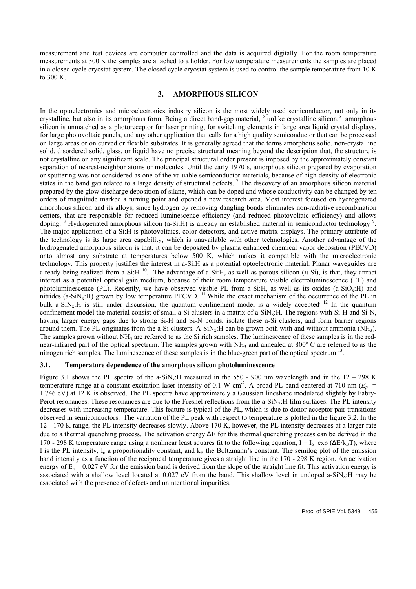measurement and test devices are computer controlled and the data is acquired digitally. For the room temperature measurements at 300 K the samples are attached to a holder. For low temperature measurements the samples are placed in a closed cycle cryostat system. The closed cycle cryostat system is used to control the sample temperature from 10 K to 300 K.

## **3. AMORPHOUS SILICON**

In the optoelectronics and microelectronics industry silicon is the most widely used semiconductor, not only in its crystalline, but also in its amorphous form. Being a direct band-gap material,  $5$  unlike crystalline silicon, $6$  amorphous silicon is unmatched as a photoreceptor for laser printing, for switching elements in large area liquid crystal displays, for large photovoltaic panels, and any other application that calls for a high quality semiconductor that can be processed on large areas or on curved or flexible substrates. It is generally agreed that the terms amorphous solid, non-crystalline solid, disordered solid, glass, or liquid have no precise structural meaning beyond the description that, the structure is not crystalline on any significant scale. The principal structural order present is imposed by the approximately constant separation of nearest-neighbor atoms or molecules. Until the early 1970's, amorphous silicon prepared by evaporation or sputtering was not considered as one of the valuable semiconductor materials, because of high density of electronic states in the band gap related to a large density of structural defects.<sup>7</sup> The discovery of an amorphous silicon material prepared by the glow discharge deposition of silane, which can be doped and whose conductivity can be changed by ten orders of magnitude marked a turning point and opened a new research area. Most interest focused on hydrogenated amorphous silicon and its alloys, since hydrogen by removing dangling bonds eliminates non-radiative recombination centers, that are responsible for reduced luminescence efficiency (and reduced photovoltaic efficiency) and allows doping. <sup>8</sup> Hydrogenated amorphous silicon (a-Si:H) is already an established material in semiconductor technology <sup>9</sup> . The major application of a-Si:H is photovoltaics, color detectors, and active matrix displays. The primary attribute of the technology is its large area capability, which is unavailable with other technologies. Another advantage of the hydrogenated amorphous silicon is that, it can be deposited by plasma enhanced chemical vapor deposition (PECVD) onto almost any substrate at temperatures below 500 K, which makes it compatible with the microelectronic technology. This property justifies the interest in a-Si:H as a potential optoelectronic material. Planar waveguides are already being realized from a-Si:H  $^{10}$ . The advantage of a-Si:H, as well as porous silicon (-Si), is that, they attract interest as a potential optical gain medium, because of their room temperature visible electroluminescence (EL) and photoluminescence (PL). Recently, we have observed visible PL from a-Si:H, as well as its oxides (a-SiOx:H) and nitrides (a-SiN<sub>x</sub>:H) grown by low temperature PECVD. <sup>11</sup> While the exact mechanism of the occurrence of the PL in bulk a-SiN<sub>x</sub>:H is still under discussion, the quantum confinement model is a widely accepted. <sup>12</sup> In the quantum confinement model the material consist of small a-Si clusters in a matrix of a-SiN<sub>x</sub>:H. The regions with Si-H and Si-N, having larger energy gaps due to strong Si-H and Si-N bonds, isolate these a-Si clusters, and form barrier regions around them. The PL originates from the a-Si clusters. A-SiN<sub>x</sub>:H can be grown both with and without ammonia (NH<sub>3</sub>). The samples grown without  $NH_3$  are referred to as the Si rich samples. The luminescence of these samples is in the rednear-infrared part of the optical spectrum. The samples grown with NH<sub>3</sub> and annealed at 800° C are referred to as the nitrogen rich samples. The luminescence of these samples is in the blue-green part of the optical spectrum <sup>13</sup>.

#### **3.1. Temperature dependence of the amorphous silicon photoluminescence**

Figure 3.1 shows the PL spectra of the a-SiN<sub>x</sub>:H measured in the 550 - 900 nm wavelength and in the  $12 - 298$  K temperature range at a constant excitation laser intensity of 0.1 W cm<sup>-2</sup>. A broad PL band centered at 710 nm ( $E_p$  = 1.746 eV) at 12 K is observed. The PL spectra have approximately a Gaussian lineshape modulated slightly by Fabry-Perot resonances. These resonances are due to the Fresnel reflections from the a-SiN<sub>x</sub>:H film surfaces. The PL intensity decreases with increasing temperature. This feature is typical of the PL, which is due to donor-acceptor pair transitions observed in semiconductors. The variation of the PL peak with respect to temperature is plotted in the figure 3.2. In the 12 - 170 K range, the PL intensity decreases slowly. Above 170 K, however, the PL intensity decreases at a larger rate due to a thermal quenching process. The activation energy E for this thermal quenching process can be derived in the 170 - 298 K temperature range using a nonlinear least squares fit to the following equation,  $I = I_0$  exp (  $E/k_BT$ ), where I is the PL intensity,  $I_0$  a proportionality constant, and  $k_B$  the Boltzmann's constant. The semilog plot of the emission band intensity as a function of the reciprocal temperature gives a straight line in the 170 - 298 K region. An activation energy of  $E_a = 0.027$  eV for the emission band is derived from the slope of the straight line fit. This activation energy is associated with a shallow level located at 0.027 eV from the band. This shallow level in undoped a-SiN<sub>x</sub>:H may be associated with the presence of defects and unintentional impurities.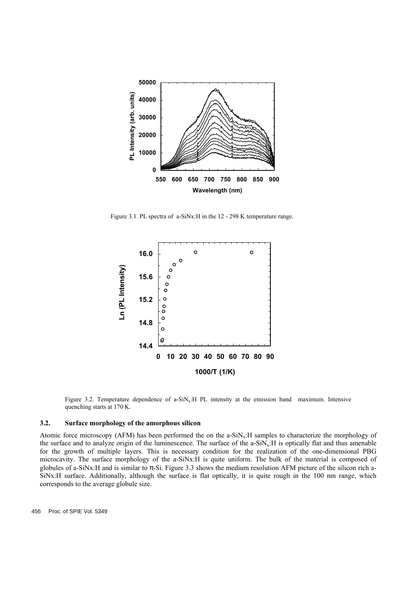

Figure 3.1. PL spectra of a-SiNx:H in the 12 - 298 K temperature range.



Figure 3.2. Temperature dependence of a-SiN<sub>x</sub>:H PL intensity at the emission band maximum. Intensive quenching starts at 170 K.

## **3.2. Surface morphology of the amorphous silicon**

Atomic force microscopy (AFM) has been performed the on the a-SiN<sub>x</sub>:H samples to characterize the morphology of the surface and to analyze origin of the luminescence. The surface of the  $a-SiN<sub>x</sub>:H$  is optically flat and thus amenable for the growth of multiple layers. This is necessary condition for the realization of the one-dimensional PBG microcavity. The surface morphology of the a-SiNx:H is quite uniform. The bulk of the material is composed of globules of a-SiNx:H and is similar to -Si. Figure 3.3 shows the medium resolution AFM picture of the silicon rich a-SiNx:H surface. Additionally, although the surface is flat optically, it is quite rough in the 100 nm range, which corresponds to the average globule size.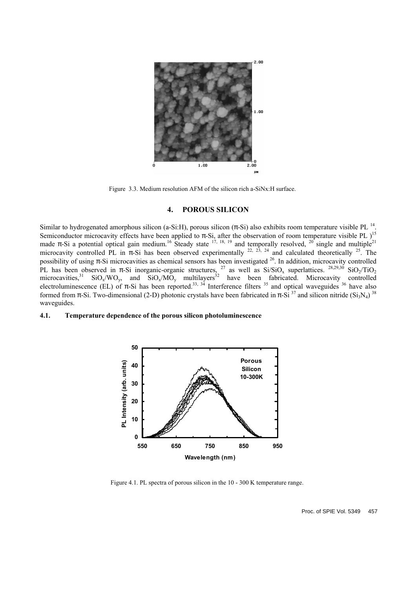

Figure 3.3. Medium resolution AFM of the silicon rich a-SiNx:H surface.

## **4. POROUS SILICON**

Similar to hydrogenated amorphous silicon (a-Si:H), porous silicon (-Si) also exhibits room temperature visible PL<sup>14</sup>. Semiconductor microcavity effects have been applied to -Si, after the observation of room temperature visible PL  $)$ <sup>15</sup> made -Si a potential optical gain medium.<sup>16</sup> Steady state  $^{17, 18, 19}$  and temporally resolved,  $^{20}$  single and multiple<sup>21</sup> microcavity controlled PL in -Si has been observed experimentally  $^{22, 23, 24}$  and calculated theoretically  $^{25}$ . The possibility of using -Si microcavities as chemical sensors has been investigated <sup>26</sup>. In addition, microcavity controlled PL has been observed in -Si inorganic-organic structures, <sup>27</sup> as well as  $Si/SiO<sub>x</sub>$  superlattices. <sup>28,29,30</sup> SiO<sub>2</sub>/TiO<sub>2</sub> microcavities,<sup>31</sup> SiO<sub>x</sub>/WO<sub>y</sub>, and SiO<sub>x</sub>/MO<sub>y</sub> multilayers<sup>32</sup> have been fabricated. Microcavity controlled electroluminescence (EL) of -Si has been reported.<sup>33, 34</sup> Interference filters  $35$  and optical waveguides  $36$  have also formed from -Si. Two-dimensional (2-D) photonic crystals have been fabricated in -Si  $^{37}$  and silicon nitride (Si<sub>3</sub>N<sub>4</sub>)  $^{38}$ waveguides.

#### **4.1. Temperature dependence of the porous silicon photoluminescence**



Figure 4.1. PL spectra of porous silicon in the 10 - 300 K temperature range.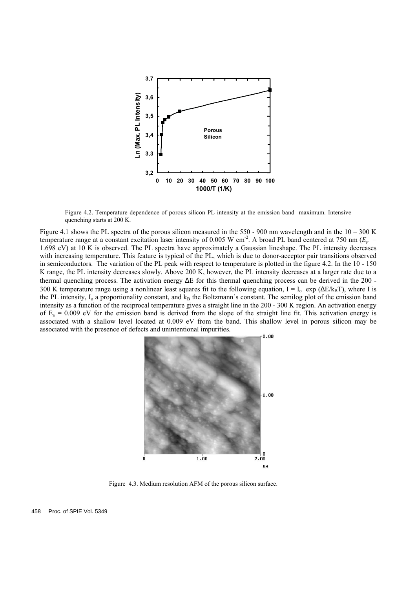

Figure 4.2. Temperature dependence of porous silicon PL intensity at the emission band maximum. Intensive quenching starts at 200 K.

Figure 4.1 shows the PL spectra of the porous silicon measured in the 550 - 900 nm wavelength and in the 10 – 300 K temperature range at a constant excitation laser intensity of 0.005 W cm<sup>-2</sup>. A broad PL band centered at 750 nm ( $E_p$  = 1.698 eV) at 10 K is observed. The PL spectra have approximately a Gaussian lineshape. The PL intensity decreases with increasing temperature. This feature is typical of the PL, which is due to donor-acceptor pair transitions observed in semiconductors. The variation of the PL peak with respect to temperature is plotted in the figure 4.2. In the 10 - 150 K range, the PL intensity decreases slowly. Above 200 K, however, the PL intensity decreases at a larger rate due to a thermal quenching process. The activation energy E for this thermal quenching process can be derived in the 200 - 300 K temperature range using a nonlinear least squares fit to the following equation,  $I = I_0$  exp (  $E/k_BT$ ), where I is the PL intensity,  $I_0$  a proportionality constant, and  $k_B$  the Boltzmann's constant. The semilog plot of the emission band intensity as a function of the reciprocal temperature gives a straight line in the 200 - 300 K region. An activation energy of  $E_a = 0.009$  eV for the emission band is derived from the slope of the straight line fit. This activation energy is associated with a shallow level located at 0.009 eV from the band. This shallow level in porous silicon may be associated with the presence of defects and unintentional impurities.



Figure 4.3. Medium resolution AFM of the porous silicon surface.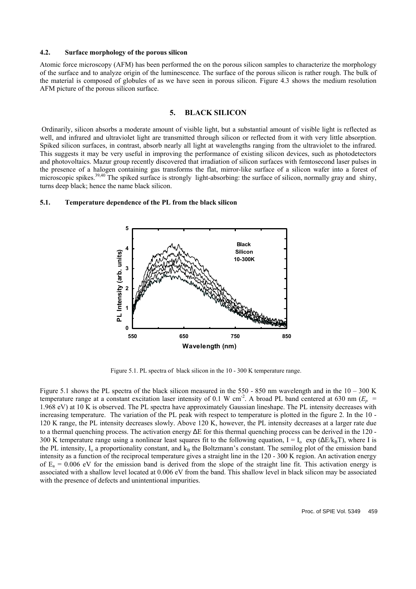## **4.2. Surface morphology of the porous silicon**

Atomic force microscopy (AFM) has been performed the on the porous silicon samples to characterize the morphology of the surface and to analyze origin of the luminescence. The surface of the porous silicon is rather rough. The bulk of the material is composed of globules of as we have seen in porous silicon. Figure 4.3 shows the medium resolution AFM picture of the porous silicon surface.

# **5. BLACK SILICON**

 Ordinarily, silicon absorbs a moderate amount of visible light, but a substantial amount of visible light is reflected as well, and infrared and ultraviolet light are transmitted through silicon or reflected from it with very little absorption. Spiked silicon surfaces, in contrast, absorb nearly all light at wavelengths ranging from the ultraviolet to the infrared. This suggests it may be very useful in improving the performance of existing silicon devices, such as photodetectors and photovoltaics. Mazur group recently discovered that irradiation of silicon surfaces with femtosecond laser pulses in the presence of a halogen containing gas transforms the flat, mirror-like surface of a silicon wafer into a forest of microscopic spikes.<sup>39,40</sup> The spiked surface is strongly light-absorbing: the surface of silicon, normally gray and shiny, turns deep black; hence the name black silicon.

## **5.1. Temperature dependence of the PL from the black silicon**



Figure 5.1. PL spectra of black silicon in the 10 - 300 K temperature range.

Figure 5.1 shows the PL spectra of the black silicon measured in the 550 - 850 nm wavelength and in the 10 – 300 K temperature range at a constant excitation laser intensity of 0.1 W cm<sup>-2</sup>. A broad PL band centered at 630 nm ( $E_p$  = 1.968 eV) at 10 K is observed. The PL spectra have approximately Gaussian lineshape. The PL intensity decreases with increasing temperature. The variation of the PL peak with respect to temperature is plotted in the figure 2. In the 10 - 120 K range, the PL intensity decreases slowly. Above 120 K, however, the PL intensity decreases at a larger rate due to a thermal quenching process. The activation energy E for this thermal quenching process can be derived in the 120 - 300 K temperature range using a nonlinear least squares fit to the following equation,  $I = I_0$  exp (  $E/k_BT$ ), where I is the PL intensity,  $I_0$  a proportionality constant, and  $k_B$  the Boltzmann's constant. The semilog plot of the emission band intensity as a function of the reciprocal temperature gives a straight line in the 120 - 300 K region. An activation energy of  $E_a = 0.006$  eV for the emission band is derived from the slope of the straight line fit. This activation energy is associated with a shallow level located at 0.006 eV from the band. This shallow level in black silicon may be associated with the presence of defects and unintentional impurities.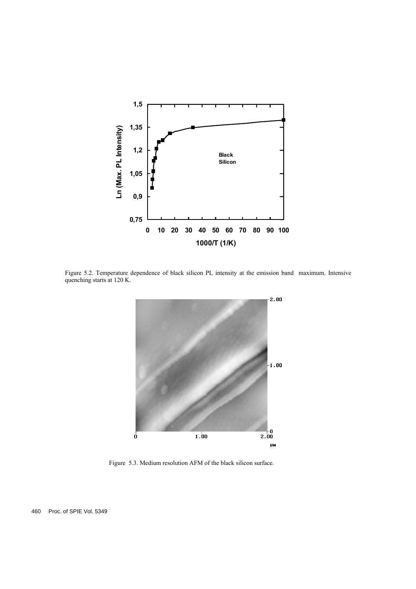

Figure 5.2. Temperature dependence of black silicon PL intensity at the emission band maximum. Intensive quenching starts at 120 K.



Figure 5.3. Medium resolution AFM of the black silicon surface.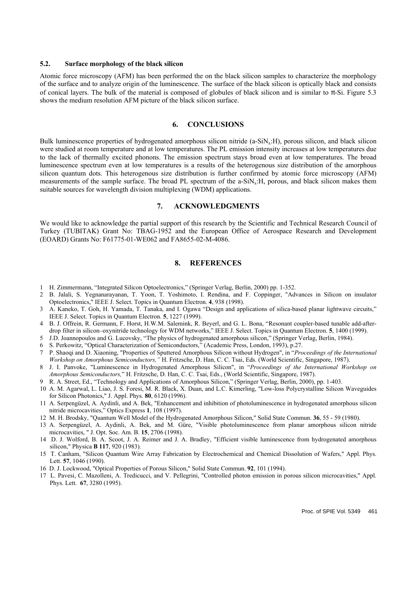#### **5.2. Surface morphology of the black silicon**

Atomic force microscopy (AFM) has been performed the on the black silicon samples to characterize the morphology of the surface and to analyze origin of the luminescence. The surface of the black silicon is optically black and consists of conical layers. The bulk of the material is composed of globules of black silicon and is similar to -Si. Figure 5.3 shows the medium resolution AFM picture of the black silicon surface.

### **6. CONCLUSIONS**

Bulk luminescence properties of hydrogenated amorphous silicon nitride (a-SiN<sub>x</sub>:H), porous silicon, and black silicon were studied at room temperature and at low temperatures. The PL emission intensity increases at low temperatures due to the lack of thermally excited phonons. The emission spectrum stays broad even at low temperatures. The broad luminescence spectrum even at low temperatures is a results of the heterogenous size distribution of the amorphous silicon quantum dots. This heterogenous size distribution is further confirmed by atomic force microscopy (AFM) measurements of the sample surface. The broad PL spectrum of the a-SiNx:H, porous, and black silicon makes them suitable sources for wavelength division multiplexing (WDM) applications.

#### **7. ACKNOWLEDGMENTS**

We would like to acknowledge the partial support of this research by the Scientific and Technical Research Council of Turkey (TUBITAK) Grant No: TBAG-1952 and the European Office of Aerospace Research and Development (EOARD) Grants No: F61775-01-WE062 and FA8655-02-M-4086.

# **8. REFERENCES**

- 1 H. Zimmermann, "Integrated Silicon Optoelectronics," (Springer Verlag, Berlin, 2000) pp. 1-352.
- 2 B. Jalali, S. Yegnanarayanan, T. Yoon, T. Yoshimoto, I. Rendina, and F. Coppinger, "Advances in Silicon on insulator Optoelectronics," IEEE J. Select. Topics in Quantum Electron. **4**, 938 (1998).
- 3 A. Kaneko, T. Goh, H. Yamada, T. Tanaka, and I. Ogawa "Design and applications of silica-based planar lightwave circuits," IEEE J. Select. Topics in Quantum Electron. **5**, 1227 (1999).
- 4 B. J. Offrein, R. Germann, F. Horst, H.W.M. Salemink, R. Beyerl, and G. L. Bona, "Resonant coupler-based tunable add-afterdrop filter in silicon–oxynitride technology for WDM networks," IEEE J. Select. Topics in Quantum Electron. **5**, 1400 (1999).
- 5 J.D. Joannopoulos and G. Lucovsky, "The physics of hydrogenated amorphous silicon," (Springer Verlag, Berlin, 1984).
- 6 S. Perkowitz, "Optical Characterization of Semiconductors," (Academic Press, London, 1993), p.27.
- 7 P. Shaoqi and D. Xiaoning, "Properties of Sputtered Amorphous Silicon without Hydrogen", in "*Proceedings of the International Workshop on Amorphous Semiconductors,"* H. Fritzsche, D. Han, C. C. Tsai, Eds. (World Scientific, Singapore, 1987).
- 8 J. I. Panvoke, "Luminescence in Hydrogenated Amorphous Silicon", in "*Proceedings of the International Workshop on Amorphous Semiconductors,*" H. Fritzsche, D. Han, C. C. Tsai, Eds., (World Scientific, Singapore, 1987).
- 9 R. A. Street, Ed., "Technology and Applications of Amorphous Silicon," (Springer Verlag, Berlin, 2000), pp. 1-403.
- 10 A. M. Agarwal, L. Liao, J. S. Foresi, M. R. Black, X. Duan, and L.C. Kimerling, "Low-loss Polycrystalline Silicon Waveguides for Silicon Photonics," J. Appl. Phys. **80**, 6120 (1996).
- 11 A. Serpengüzel, A. Aydinli, and A. Bek, "Enhancement and inhibition of photoluminescence in hydrogenated amorphous silicon nitride microcavities," Optics Express **1**, 108 (1997).
- 12 M. H. Brodsky, "Quantum Well Model of the Hydrogenated Amorphous Silicon," Solid State Commun. **36**, 55 59 (1980).
- 13 A. Serpengüzel, A. Aydinli, A. Bek, and M. Güre, "Visible photoluminescence from planar amorphous silicon nitride microcavities, " J. Opt. Soc. Am. B. **15**, 2706 (1998).
- 14 D. J. Wolford, B. A. Scoot, J. A. Reimer and J. A. Bradley, "Efficient visible luminescence from hydrogenated amorphous silicon," Physica **B 117**, 920 (1983).
- 15 T. Canham, "Silicon Quantum Wire Array Fabrication by Electrochemical and Chemical Dissolution of Wafers," Appl. Phys. Lett. **57**, 1046 (1990).
- 16 D. J. Lockwood, "Optical Properties of Porous Silicon," Solid State Commun. **92**, 101 (1994).
- 17 L. Pavesi, C. Mazolleni, A. Tredicucci, and V. Pellegrini, "Controlled photon emission in porous silicon microcavities," Appl. Phys. Lett. **67**, 3280 (1995).